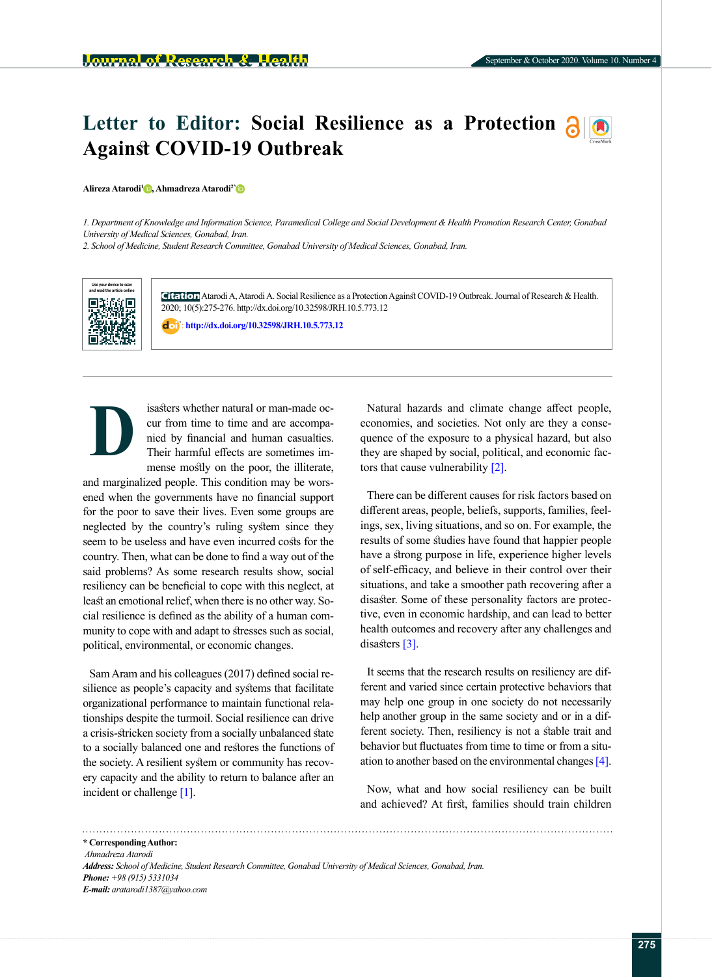## Letter to Editor: Social Resilience as a Protection  $\partial |\Phi|$ **Against COVID-19 Outbreak**

## **Alireza Atarodi[1](https://orcid.org/0000-0002-3592-4698) , Ahmadreza Atarodi[2\\*](https://orcid.org/0000-0002-4851-8744)**

*1. Department of Knowledge and Information Science, Paramedical College and Social Development & Health Promotion Research Center, Gonabad University of Medical Sciences, Gonabad, Iran.*

*2. School of Medicine, Student Research Committee, Gonabad University of Medical Sciences, Gonabad, Iran.*



**Citation** Atarodi A, Atarodi A. Social Resilience as a Protection Against COVID-19 Outbreak. Journal of Research & Health. 2020; 10(5):275-276. http://dx.doi.org/10.32598/JRH.10.5.773.12

: **<http://dx.doi.org/10.32598/JRH.10.5.773.12>**



isasters whether natural or man-made occur from time to time and are accompanied by financial and human casualties. Their harmful effects are sometimes immense mostly on the poor, the illiterate,

and marginalized people. This condition may be worsened when the governments have no financial support for the poor to save their lives. Even some groups are neglected by the country's ruling system since they seem to be useless and have even incurred costs for the country. Then, what can be done to find a way out of the said problems? As some research results show, social resiliency can be beneficial to cope with this neglect, at least an emotional relief, when there is no other way. Social resilience is defined as the ability of a human community to cope with and adapt to stresses such as social, political, environmental, or economic changes.

Sam Aram and his colleagues (2017) defined social resilience as people's capacity and systems that facilitate organizational performance to maintain functional relationships despite the turmoil. Social resilience can drive a crisis-stricken society from a socially unbalanced state to a socially balanced one and restores the functions of the society. A resilient system or community has recovery capacity and the ability to return to balance after an incident or challenge [\[1\]](#page-1-0).

Natural hazards and climate change affect people, economies, and societies. Not only are they a consequence of the exposure to a physical hazard, but also they are shaped by social, political, and economic factors that cause vulnerability [\[2\]](#page-1-1).

There can be different causes for risk factors based on different areas, people, beliefs, supports, families, feelings, sex, living situations, and so on. For example, the results of some studies have found that [happier](http://psycnet.apa.org/record/2009-07991-007) people have a [strong purpose in life,](http://journals.plos.org/plosone/article?id=10.1371/journal.pone.0080329) experience higher levels of [self-efficacy](http://www.sciencedirect.com/science/article/pii/S0005796703002304), and believe in their control over their situations, and take a smoother path recovering after a disaster. Some of these personality factors are protective, even [in economic hardship,](http://midus.wisc.edu/findings/pdfs/63.pdf) and can lead to [better](https://www.ncbi.nlm.nih.gov/pmc/articles/PMC2991411/)  [health outcomes](https://www.ncbi.nlm.nih.gov/pmc/articles/PMC2991411/) and recovery after any challenges and disasters [\[3\]](#page-1-2).

It seems that the research results on resiliency are different and varied since certain protective behaviors that may help one group in one society [do not necessarily](http://journals.sagepub.com/doi/full/10.1177/2055102916652390)  [help](http://journals.sagepub.com/doi/full/10.1177/2055102916652390) another group in the same society and or in a different society. Then, resiliency is not a stable trait and behavior but fluctuates from time to time or from a situation to another based on the [environmental changes](http://www.ingentaconnect.com/contentone/springer/argg/2012/00000032/00000001/art00014?utm_source=TrendMD&utm_medium=cpc&utm_campaign=Annual_Review_of_Gerontology_and_Geriatrics_TrendMD_0) [\[4\]](#page-1-3).

Now, what and how social resiliency can be built and achieved? At first, families should train children

**\* Corresponding Author:**  *Ahmadreza Atarodi Address: School of Medicine, Student Research Committee, Gonabad University of Medical Sciences, Gonabad, Iran. Phone: +98 (915) 5331034 E-mail: aratarodi1387@yahoo.com*